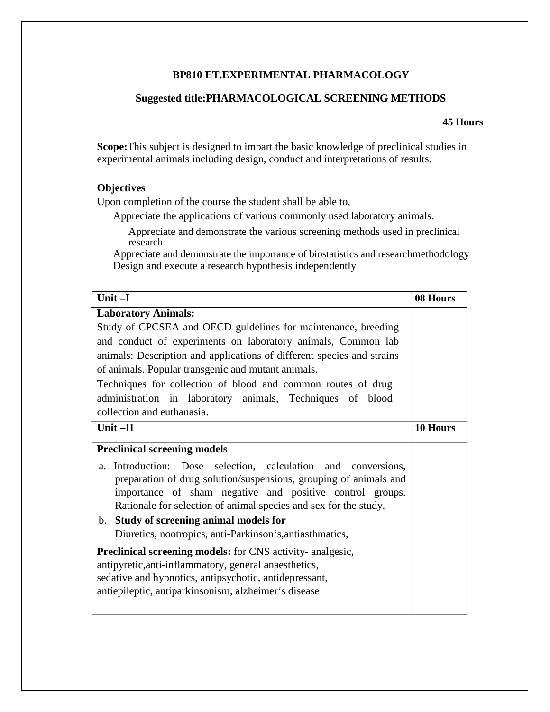## **BP810 ET.EXPERIMENTAL PHARMACOLOGY**

## **Suggested title:PHARMACOLOGICAL SCREENING METHODS**

## **45 Hours**

**Scope:**This subject is designed to impart the basic knowledge of preclinical studies in experimental animals including design, conduct and interpretations of results.

## **Objectives**

Upon completion of the course the student shall be able to,

Appreciate the applications of various commonly used laboratory animals.

Appreciate and demonstrate the various screening methods used in preclinical research

Appreciate and demonstrate the importance of biostatistics and researchmethodology Design and execute a research hypothesis independently

| Unit-I                                                                                                                                                                                                                                                                                                                                                                                                                                                                                                  | 08 Hours |
|---------------------------------------------------------------------------------------------------------------------------------------------------------------------------------------------------------------------------------------------------------------------------------------------------------------------------------------------------------------------------------------------------------------------------------------------------------------------------------------------------------|----------|
| <b>Laboratory Animals:</b>                                                                                                                                                                                                                                                                                                                                                                                                                                                                              |          |
| Study of CPCSEA and OECD guidelines for maintenance, breeding                                                                                                                                                                                                                                                                                                                                                                                                                                           |          |
| and conduct of experiments on laboratory animals, Common lab                                                                                                                                                                                                                                                                                                                                                                                                                                            |          |
| animals: Description and applications of different species and strains                                                                                                                                                                                                                                                                                                                                                                                                                                  |          |
| of animals. Popular transgenic and mutant animals.                                                                                                                                                                                                                                                                                                                                                                                                                                                      |          |
| Techniques for collection of blood and common routes of drug                                                                                                                                                                                                                                                                                                                                                                                                                                            |          |
| administration in laboratory animals, Techniques of blood                                                                                                                                                                                                                                                                                                                                                                                                                                               |          |
| collection and euthanasia.                                                                                                                                                                                                                                                                                                                                                                                                                                                                              |          |
| Unit-II                                                                                                                                                                                                                                                                                                                                                                                                                                                                                                 | 10 Hours |
| <b>Preclinical screening models</b>                                                                                                                                                                                                                                                                                                                                                                                                                                                                     |          |
| a. Introduction: Dose selection, calculation and conversions,<br>preparation of drug solution/suspensions, grouping of animals and<br>importance of sham negative and positive control groups.<br>Rationale for selection of animal species and sex for the study.<br>b. Study of screening animal models for<br>Diuretics, nootropics, anti-Parkinson's, antiasthmatics,<br><b>Preclinical screening models:</b> for CNS activity- analgesic,<br>antipyretic, anti-inflammatory, general anaesthetics, |          |
| sedative and hypnotics, antipsychotic, antidepressant,<br>antiepileptic, antiparkinsonism, alzheimer's disease                                                                                                                                                                                                                                                                                                                                                                                          |          |